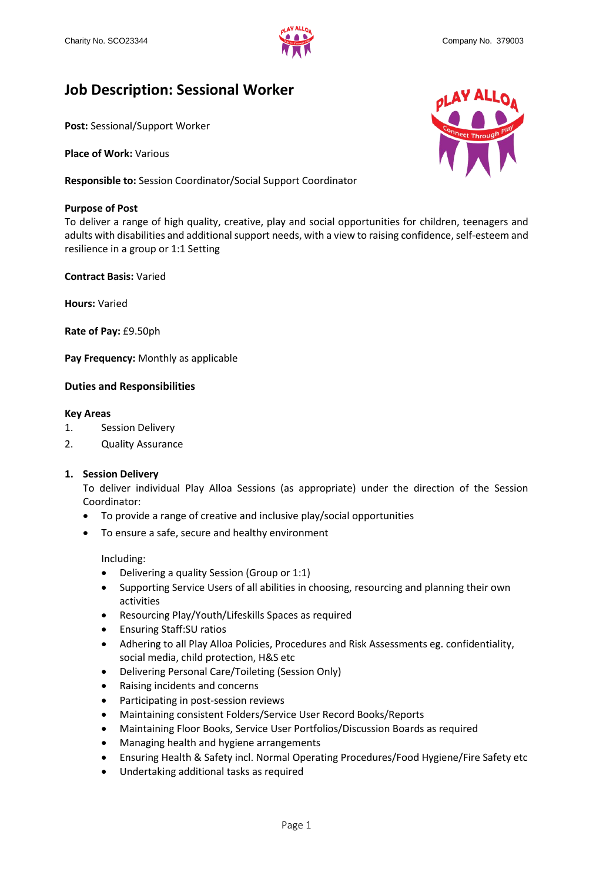

# **Job Description: Sessional Worker**

**Post:** Sessional/Support Worker

**Place of Work:** Various

**Responsible to:** Session Coordinator/Social Support Coordinator

# **Purpose of Post**

To deliver a range of high quality, creative, play and social opportunities for children, teenagers and adults with disabilities and additional support needs, with a view to raising confidence, self-esteem and resilience in a group or 1:1 Setting

**Contract Basis:** Varied

**Hours:** Varied

**Rate of Pay:** £9.50ph

**Pay Frequency:** Monthly as applicable

# **Duties and Responsibilities**

#### **Key Areas**

- 1. Session Delivery
- 2. Quality Assurance

# **1. Session Delivery**

To deliver individual Play Alloa Sessions (as appropriate) under the direction of the Session Coordinator:

- To provide a range of creative and inclusive play/social opportunities
- To ensure a safe, secure and healthy environment

Including:

- Delivering a quality Session (Group or 1:1)
- Supporting Service Users of all abilities in choosing, resourcing and planning their own activities
- Resourcing Play/Youth/Lifeskills Spaces as required
- Ensuring Staff:SU ratios
- Adhering to all Play Alloa Policies, Procedures and Risk Assessments eg. confidentiality, social media, child protection, H&S etc
- Delivering Personal Care/Toileting (Session Only)
- Raising incidents and concerns
- Participating in post-session reviews
- Maintaining consistent Folders/Service User Record Books/Reports
- Maintaining Floor Books, Service User Portfolios/Discussion Boards as required
- Managing health and hygiene arrangements
- Ensuring Health & Safety incl. Normal Operating Procedures/Food Hygiene/Fire Safety etc
- Undertaking additional tasks as required